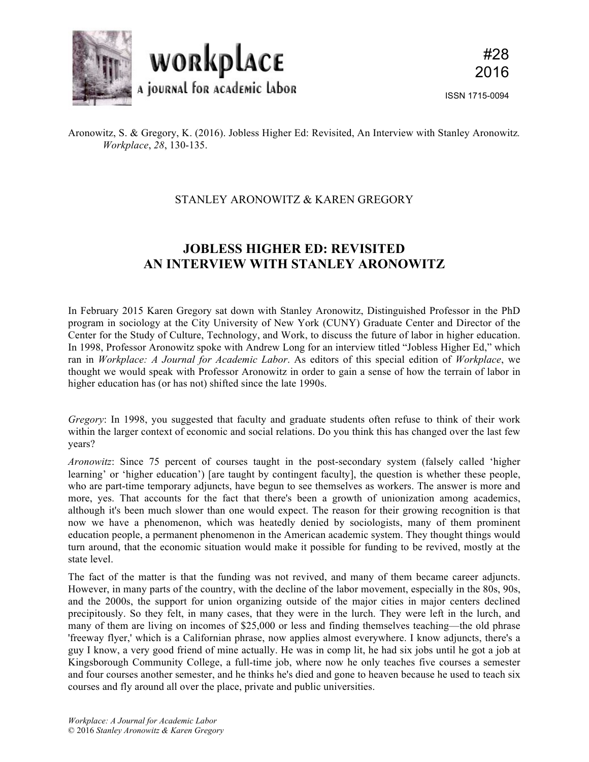

Aronowitz, S. & Gregory, K. (2016). Jobless Higher Ed: Revisited, An Interview with Stanley Aronowitz*. Workplace*, *28*, 130-135.

## STANLEY ARONOWITZ & KAREN GREGORY

## **JOBLESS HIGHER ED: REVISITED AN INTERVIEW WITH STANLEY ARONOWITZ**

In February 2015 Karen Gregory sat down with Stanley Aronowitz, Distinguished Professor in the PhD program in sociology at the City University of New York (CUNY) Graduate Center and Director of the Center for the Study of Culture, Technology, and Work, to discuss the future of labor in higher education. In 1998, Professor Aronowitz spoke with Andrew Long for an interview titled "Jobless Higher Ed," which ran in *Workplace: A Journal for Academic Labor*. As editors of this special edition of *Workplace*, we thought we would speak with Professor Aronowitz in order to gain a sense of how the terrain of labor in higher education has (or has not) shifted since the late 1990s.

*Gregory*: In 1998, you suggested that faculty and graduate students often refuse to think of their work within the larger context of economic and social relations. Do you think this has changed over the last few years?

*Aronowitz*: Since 75 percent of courses taught in the post-secondary system (falsely called 'higher learning' or 'higher education') [are taught by contingent faculty], the question is whether these people, who are part-time temporary adjuncts, have begun to see themselves as workers. The answer is more and more, yes. That accounts for the fact that there's been a growth of unionization among academics, although it's been much slower than one would expect. The reason for their growing recognition is that now we have a phenomenon, which was heatedly denied by sociologists, many of them prominent education people, a permanent phenomenon in the American academic system. They thought things would turn around, that the economic situation would make it possible for funding to be revived, mostly at the state level.

The fact of the matter is that the funding was not revived, and many of them became career adjuncts. However, in many parts of the country, with the decline of the labor movement, especially in the 80s, 90s, and the 2000s, the support for union organizing outside of the major cities in major centers declined precipitously. So they felt, in many cases, that they were in the lurch. They were left in the lurch, and many of them are living on incomes of \$25,000 or less and finding themselves teaching—the old phrase 'freeway flyer,' which is a Californian phrase, now applies almost everywhere. I know adjuncts, there's a guy I know, a very good friend of mine actually. He was in comp lit, he had six jobs until he got a job at Kingsborough Community College, a full-time job, where now he only teaches five courses a semester and four courses another semester, and he thinks he's died and gone to heaven because he used to teach six courses and fly around all over the place, private and public universities.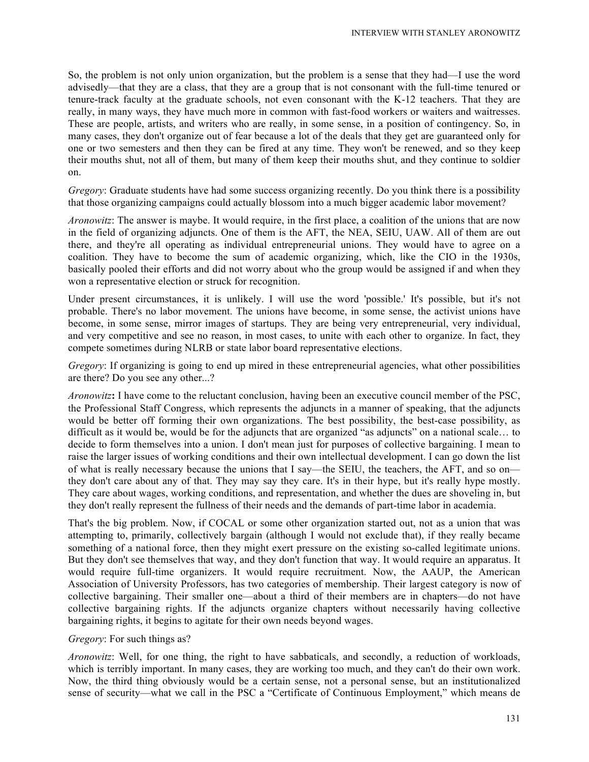So, the problem is not only union organization, but the problem is a sense that they had—I use the word advisedly—that they are a class, that they are a group that is not consonant with the full-time tenured or tenure-track faculty at the graduate schools, not even consonant with the K-12 teachers. That they are really, in many ways, they have much more in common with fast-food workers or waiters and waitresses. These are people, artists, and writers who are really, in some sense, in a position of contingency. So, in many cases, they don't organize out of fear because a lot of the deals that they get are guaranteed only for one or two semesters and then they can be fired at any time. They won't be renewed, and so they keep their mouths shut, not all of them, but many of them keep their mouths shut, and they continue to soldier on.

*Gregory*: Graduate students have had some success organizing recently. Do you think there is a possibility that those organizing campaigns could actually blossom into a much bigger academic labor movement?

*Aronowitz*: The answer is maybe. It would require, in the first place, a coalition of the unions that are now in the field of organizing adjuncts. One of them is the AFT, the NEA, SEIU, UAW. All of them are out there, and they're all operating as individual entrepreneurial unions. They would have to agree on a coalition. They have to become the sum of academic organizing, which, like the CIO in the 1930s, basically pooled their efforts and did not worry about who the group would be assigned if and when they won a representative election or struck for recognition.

Under present circumstances, it is unlikely. I will use the word 'possible.' It's possible, but it's not probable. There's no labor movement. The unions have become, in some sense, the activist unions have become, in some sense, mirror images of startups. They are being very entrepreneurial, very individual, and very competitive and see no reason, in most cases, to unite with each other to organize. In fact, they compete sometimes during NLRB or state labor board representative elections.

*Gregory*: If organizing is going to end up mired in these entrepreneurial agencies, what other possibilities are there? Do you see any other...?

*Aronowitz***:** I have come to the reluctant conclusion, having been an executive council member of the PSC, the Professional Staff Congress, which represents the adjuncts in a manner of speaking, that the adjuncts would be better off forming their own organizations. The best possibility, the best-case possibility, as difficult as it would be, would be for the adjuncts that are organized "as adjuncts" on a national scale… to decide to form themselves into a union. I don't mean just for purposes of collective bargaining. I mean to raise the larger issues of working conditions and their own intellectual development. I can go down the list of what is really necessary because the unions that I say—the SEIU, the teachers, the AFT, and so on they don't care about any of that. They may say they care. It's in their hype, but it's really hype mostly. They care about wages, working conditions, and representation, and whether the dues are shoveling in, but they don't really represent the fullness of their needs and the demands of part-time labor in academia.

That's the big problem. Now, if COCAL or some other organization started out, not as a union that was attempting to, primarily, collectively bargain (although I would not exclude that), if they really became something of a national force, then they might exert pressure on the existing so-called legitimate unions. But they don't see themselves that way, and they don't function that way. It would require an apparatus. It would require full-time organizers. It would require recruitment. Now, the AAUP, the American Association of University Professors, has two categories of membership. Their largest category is now of collective bargaining. Their smaller one—about a third of their members are in chapters—do not have collective bargaining rights. If the adjuncts organize chapters without necessarily having collective bargaining rights, it begins to agitate for their own needs beyond wages.

*Gregory*: For such things as?

*Aronowitz*: Well, for one thing, the right to have sabbaticals, and secondly, a reduction of workloads, which is terribly important. In many cases, they are working too much, and they can't do their own work. Now, the third thing obviously would be a certain sense, not a personal sense, but an institutionalized sense of security—what we call in the PSC a "Certificate of Continuous Employment," which means de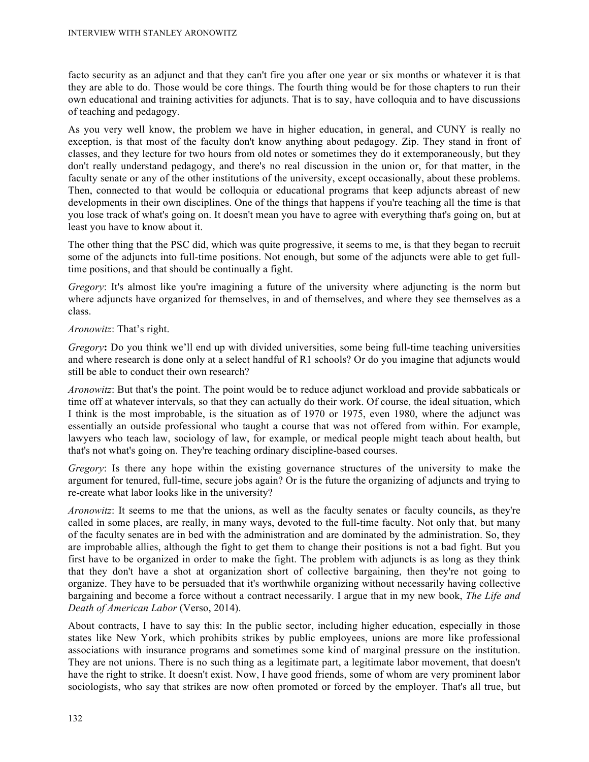facto security as an adjunct and that they can't fire you after one year or six months or whatever it is that they are able to do. Those would be core things. The fourth thing would be for those chapters to run their own educational and training activities for adjuncts. That is to say, have colloquia and to have discussions of teaching and pedagogy.

As you very well know, the problem we have in higher education, in general, and CUNY is really no exception, is that most of the faculty don't know anything about pedagogy. Zip. They stand in front of classes, and they lecture for two hours from old notes or sometimes they do it extemporaneously, but they don't really understand pedagogy, and there's no real discussion in the union or, for that matter, in the faculty senate or any of the other institutions of the university, except occasionally, about these problems. Then, connected to that would be colloquia or educational programs that keep adjuncts abreast of new developments in their own disciplines. One of the things that happens if you're teaching all the time is that you lose track of what's going on. It doesn't mean you have to agree with everything that's going on, but at least you have to know about it.

The other thing that the PSC did, which was quite progressive, it seems to me, is that they began to recruit some of the adjuncts into full-time positions. Not enough, but some of the adjuncts were able to get fulltime positions, and that should be continually a fight.

*Gregory*: It's almost like you're imagining a future of the university where adjuncting is the norm but where adjuncts have organized for themselves, in and of themselves, and where they see themselves as a class.

*Aronowitz*: That's right.

*Gregory*: Do you think we'll end up with divided universities, some being full-time teaching universities and where research is done only at a select handful of R1 schools? Or do you imagine that adjuncts would still be able to conduct their own research?

*Aronowitz*: But that's the point. The point would be to reduce adjunct workload and provide sabbaticals or time off at whatever intervals, so that they can actually do their work. Of course, the ideal situation, which I think is the most improbable, is the situation as of 1970 or 1975, even 1980, where the adjunct was essentially an outside professional who taught a course that was not offered from within. For example, lawyers who teach law, sociology of law, for example, or medical people might teach about health, but that's not what's going on. They're teaching ordinary discipline-based courses.

*Gregory*: Is there any hope within the existing governance structures of the university to make the argument for tenured, full-time, secure jobs again? Or is the future the organizing of adjuncts and trying to re-create what labor looks like in the university?

*Aronowitz*: It seems to me that the unions, as well as the faculty senates or faculty councils, as they're called in some places, are really, in many ways, devoted to the full-time faculty. Not only that, but many of the faculty senates are in bed with the administration and are dominated by the administration. So, they are improbable allies, although the fight to get them to change their positions is not a bad fight. But you first have to be organized in order to make the fight. The problem with adjuncts is as long as they think that they don't have a shot at organization short of collective bargaining, then they're not going to organize. They have to be persuaded that it's worthwhile organizing without necessarily having collective bargaining and become a force without a contract necessarily. I argue that in my new book, *The Life and Death of American Labor* (Verso, 2014).

About contracts, I have to say this: In the public sector, including higher education, especially in those states like New York, which prohibits strikes by public employees, unions are more like professional associations with insurance programs and sometimes some kind of marginal pressure on the institution. They are not unions. There is no such thing as a legitimate part, a legitimate labor movement, that doesn't have the right to strike. It doesn't exist. Now, I have good friends, some of whom are very prominent labor sociologists, who say that strikes are now often promoted or forced by the employer. That's all true, but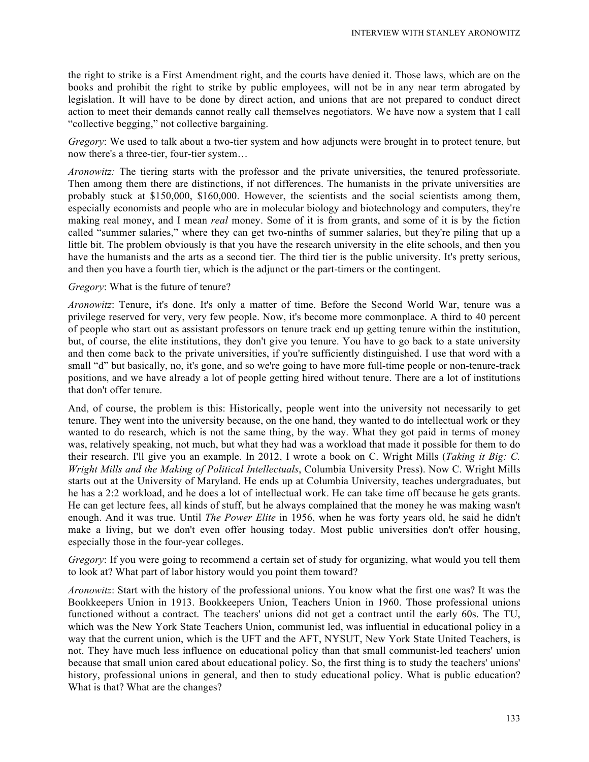the right to strike is a First Amendment right, and the courts have denied it. Those laws, which are on the books and prohibit the right to strike by public employees, will not be in any near term abrogated by legislation. It will have to be done by direct action, and unions that are not prepared to conduct direct action to meet their demands cannot really call themselves negotiators. We have now a system that I call "collective begging," not collective bargaining.

*Gregory*: We used to talk about a two-tier system and how adjuncts were brought in to protect tenure, but now there's a three-tier, four-tier system…

*Aronowitz:* The tiering starts with the professor and the private universities, the tenured professoriate. Then among them there are distinctions, if not differences. The humanists in the private universities are probably stuck at \$150,000, \$160,000. However, the scientists and the social scientists among them, especially economists and people who are in molecular biology and biotechnology and computers, they're making real money, and I mean *real* money. Some of it is from grants, and some of it is by the fiction called "summer salaries," where they can get two-ninths of summer salaries, but they're piling that up a little bit. The problem obviously is that you have the research university in the elite schools, and then you have the humanists and the arts as a second tier. The third tier is the public university. It's pretty serious, and then you have a fourth tier, which is the adjunct or the part-timers or the contingent.

## *Gregory*: What is the future of tenure?

*Aronowitz*: Tenure, it's done. It's only a matter of time. Before the Second World War, tenure was a privilege reserved for very, very few people. Now, it's become more commonplace. A third to 40 percent of people who start out as assistant professors on tenure track end up getting tenure within the institution, but, of course, the elite institutions, they don't give you tenure. You have to go back to a state university and then come back to the private universities, if you're sufficiently distinguished. I use that word with a small "d" but basically, no, it's gone, and so we're going to have more full-time people or non-tenure-track positions, and we have already a lot of people getting hired without tenure. There are a lot of institutions that don't offer tenure.

And, of course, the problem is this: Historically, people went into the university not necessarily to get tenure. They went into the university because, on the one hand, they wanted to do intellectual work or they wanted to do research, which is not the same thing, by the way. What they got paid in terms of money was, relatively speaking, not much, but what they had was a workload that made it possible for them to do their research. I'll give you an example. In 2012, I wrote a book on C. Wright Mills (*Taking it Big: C. Wright Mills and the Making of Political Intellectuals*, Columbia University Press). Now C. Wright Mills starts out at the University of Maryland. He ends up at Columbia University, teaches undergraduates, but he has a 2:2 workload, and he does a lot of intellectual work. He can take time off because he gets grants. He can get lecture fees, all kinds of stuff, but he always complained that the money he was making wasn't enough. And it was true. Until *The Power Elite* in 1956, when he was forty years old, he said he didn't make a living, but we don't even offer housing today. Most public universities don't offer housing, especially those in the four-year colleges.

*Gregory*: If you were going to recommend a certain set of study for organizing, what would you tell them to look at? What part of labor history would you point them toward?

*Aronowitz*: Start with the history of the professional unions. You know what the first one was? It was the Bookkeepers Union in 1913. Bookkeepers Union, Teachers Union in 1960. Those professional unions functioned without a contract. The teachers' unions did not get a contract until the early 60s. The TU, which was the New York State Teachers Union, communist led, was influential in educational policy in a way that the current union, which is the UFT and the AFT, NYSUT, New York State United Teachers, is not. They have much less influence on educational policy than that small communist-led teachers' union because that small union cared about educational policy. So, the first thing is to study the teachers' unions' history, professional unions in general, and then to study educational policy. What is public education? What is that? What are the changes?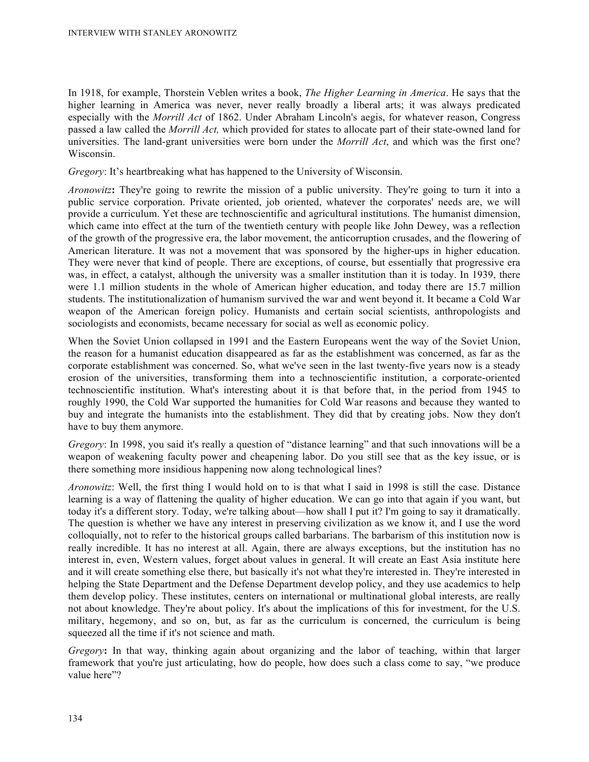In 1918, for example, Thorstein Veblen writes a book, *The Higher Learning in America*. He says that the higher learning in America was never, never really broadly a liberal arts; it was always predicated especially with the *Morrill Act* of 1862. Under Abraham Lincoln's aegis, for whatever reason, Congress passed a law called the *Morrill Act,* which provided for states to allocate part of their state-owned land for universities. The land-grant universities were born under the *Morrill Act*, and which was the first one? Wisconsin.

*Gregory*: It's heartbreaking what has happened to the University of Wisconsin.

*Aronowitz*: They're going to rewrite the mission of a public university. They're going to turn it into a public service corporation. Private oriented, job oriented, whatever the corporates' needs are, we will provide a curriculum. Yet these are technoscientific and agricultural institutions. The humanist dimension, which came into effect at the turn of the twentieth century with people like John Dewey, was a reflection of the growth of the progressive era, the labor movement, the anticorruption crusades, and the flowering of American literature. It was not a movement that was sponsored by the higher-ups in higher education. They were never that kind of people. There are exceptions, of course, but essentially that progressive era was, in effect, a catalyst, although the university was a smaller institution than it is today. In 1939, there were 1.1 million students in the whole of American higher education, and today there are 15.7 million students. The institutionalization of humanism survived the war and went beyond it. It became a Cold War weapon of the American foreign policy. Humanists and certain social scientists, anthropologists and sociologists and economists, became necessary for social as well as economic policy.

When the Soviet Union collapsed in 1991 and the Eastern Europeans went the way of the Soviet Union, the reason for a humanist education disappeared as far as the establishment was concerned, as far as the corporate establishment was concerned. So, what we've seen in the last twenty-five years now is a steady erosion of the universities, transforming them into a technoscientific institution, a corporate-oriented technoscientific institution. What's interesting about it is that before that, in the period from 1945 to roughly 1990, the Cold War supported the humanities for Cold War reasons and because they wanted to buy and integrate the humanists into the establishment. They did that by creating jobs. Now they don't have to buy them anymore.

*Gregory*: In 1998, you said it's really a question of "distance learning" and that such innovations will be a weapon of weakening faculty power and cheapening labor. Do you still see that as the key issue, or is there something more insidious happening now along technological lines?

*Aronowitz*: Well, the first thing I would hold on to is that what I said in 1998 is still the case. Distance learning is a way of flattening the quality of higher education. We can go into that again if you want, but today it's a different story. Today, we're talking about—how shall I put it? I'm going to say it dramatically. The question is whether we have any interest in preserving civilization as we know it, and I use the word colloquially, not to refer to the historical groups called barbarians. The barbarism of this institution now is really incredible. It has no interest at all. Again, there are always exceptions, but the institution has no interest in, even, Western values, forget about values in general. It will create an East Asia institute here and it will create something else there, but basically it's not what they're interested in. They're interested in helping the State Department and the Defense Department develop policy, and they use academics to help them develop policy. These institutes, centers on international or multinational global interests, are really not about knowledge. They're about policy. It's about the implications of this for investment, for the U.S. military, hegemony, and so on, but, as far as the curriculum is concerned, the curriculum is being squeezed all the time if it's not science and math.

*Gregory***:** In that way, thinking again about organizing and the labor of teaching, within that larger framework that you're just articulating, how do people, how does such a class come to say, "we produce value here"?